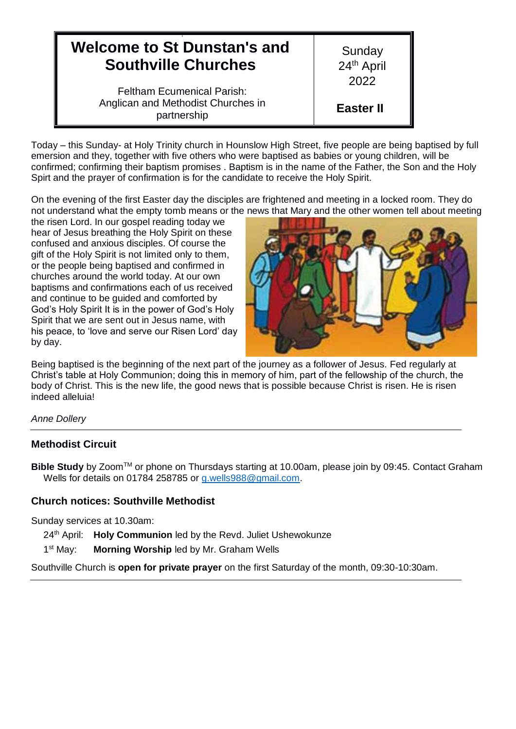| <b>Welcome to St Dunstan's and</b>                                                     | Sunday                   |
|----------------------------------------------------------------------------------------|--------------------------|
| <b>Southville Churches</b>                                                             | 24 <sup>th</sup> April   |
| <b>Feltham Ecumenical Parish:</b><br>Anglican and Methodist Churches in<br>partnership | 2022<br><b>Easter II</b> |

Today – this Sunday- at Holy Trinity church in Hounslow High Street, five people are being baptised by full emersion and they, together with five others who were baptised as babies or young children, will be confirmed; confirming their baptism promises . Baptism is in the name of the Father, the Son and the Holy Spirt and the prayer of confirmation is for the candidate to receive the Holy Spirit.

On the evening of the first Easter day the disciples are frightened and meeting in a locked room. They do not understand what the empty tomb means or the news that Mary and the other women tell about meeting

the risen Lord. In our gospel reading today we hear of Jesus breathing the Holy Spirit on these confused and anxious disciples. Of course the gift of the Holy Spirit is not limited only to them, or the people being baptised and confirmed in churches around the world today. At our own baptisms and confirmations each of us received and continue to be guided and comforted by God's Holy Spirit It is in the power of God's Holy Spirit that we are sent out in Jesus name, with his peace, to 'love and serve our Risen Lord' day by day.



Being baptised is the beginning of the next part of the journey as a follower of Jesus. Fed regularly at Christ's table at Holy Communion; doing this in memory of him, part of the fellowship of the church, the body of Christ. This is the new life, the good news that is possible because Christ is risen. He is risen indeed alleluia!

### *Anne Dollery*

## **Methodist Circuit**

**Bible Study** by Zoom<sup>™</sup> or phone on Thursdays starting at 10.00am, please join by 09:45. Contact Graham Wells for details on 01784 258785 or [g.wells988@gmail.com.](mailto:g.wells988@gmail.com)

## **Church notices: Southville Methodist**

Sunday services at 10.30am:

24<sup>th</sup> April: **Holy Communion** led by the Revd. Juliet Ushewokunze

 $1<sup>st</sup>$  May: **Morning Worship** led by Mr. Graham Wells

Southville Church is **open for private prayer** on the first Saturday of the month, 09:30-10:30am.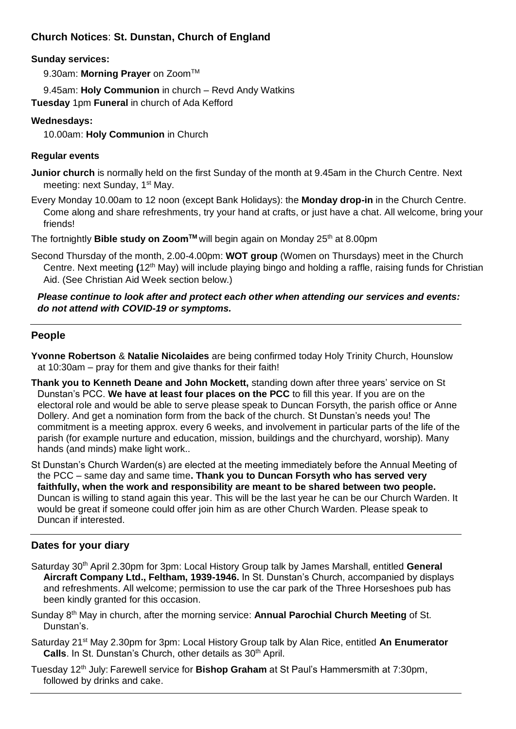# **Church Notices**: **St. Dunstan, Church of England**

## **Sunday services:**

9.30am: Morning Prayer on Zoom<sup>™</sup>

9.45am: **Holy Communion** in church – Revd Andy Watkins

**Tuesday** 1pm **Funeral** in church of Ada Kefford

## **Wednesdays:**

10.00am: **Holy Communion** in Church

## **Regular events**

- **Junior church** is normally held on the first Sunday of the month at 9.45am in the Church Centre. Next meeting: next Sunday, 1<sup>st</sup> May.
- Every Monday 10.00am to 12 noon (except Bank Holidays): the **Monday drop-in** in the Church Centre. Come along and share refreshments, try your hand at crafts, or just have a chat. All welcome, bring your friends!

The fortnightly **Bible study on Zoom**<sup>™</sup> will begin again on Monday 25<sup>th</sup> at 8.00pm

Second Thursday of the month, 2.00-4.00pm: **WOT group** (Women on Thursdays) meet in the Church Centre. Next meeting **(**12th May) will include playing bingo and holding a raffle, raising funds for Christian Aid. (See Christian Aid Week section below.)

## *Please continue to look after and protect each other when attending our services and events: do not attend with COVID-19 or symptoms.*

## **People**

**Yvonne Robertson** & **Natalie Nicolaides** are being confirmed today Holy Trinity Church, Hounslow at 10:30am – pray for them and give thanks for their faith!

**Thank you to Kenneth Deane and John Mockett,** standing down after three years' service on St Dunstan's PCC. **We have at least four places on the PCC** to fill this year. If you are on the electoral role and would be able to serve please speak to Duncan Forsyth, the parish office or Anne Dollery. And get a nomination form from the back of the church. St Dunstan's needs you! The commitment is a meeting approx. every 6 weeks, and involvement in particular parts of the life of the parish (for example nurture and education, mission, buildings and the churchyard, worship). Many hands (and minds) make light work..

St Dunstan's Church Warden(s) are elected at the meeting immediately before the Annual Meeting of the PCC – same day and same time**. Thank you to Duncan Forsyth who has served very faithfully, when the work and responsibility are meant to be shared between two people.**  Duncan is willing to stand again this year. This will be the last year he can be our Church Warden. It would be great if someone could offer join him as are other Church Warden. Please speak to Duncan if interested.

## **Dates for your diary**

- Saturday 30th April 2.30pm for 3pm: Local History Group talk by James Marshall, entitled **General Aircraft Company Ltd., Feltham, 1939-1946.** In St. Dunstan's Church, accompanied by displays and refreshments. All welcome; permission to use the car park of the Three Horseshoes pub has been kindly granted for this occasion.
- Sunday 8th May in church, after the morning service: **Annual Parochial Church Meeting** of St. Dunstan's.
- Saturday 21st May 2.30pm for 3pm: Local History Group talk by Alan Rice, entitled **An Enumerator Calls**. In St. Dunstan's Church, other details as 30<sup>th</sup> April.
- Tuesday 12th July: Farewell service for **Bishop Graham** at St Paul's Hammersmith at 7:30pm, followed by drinks and cake.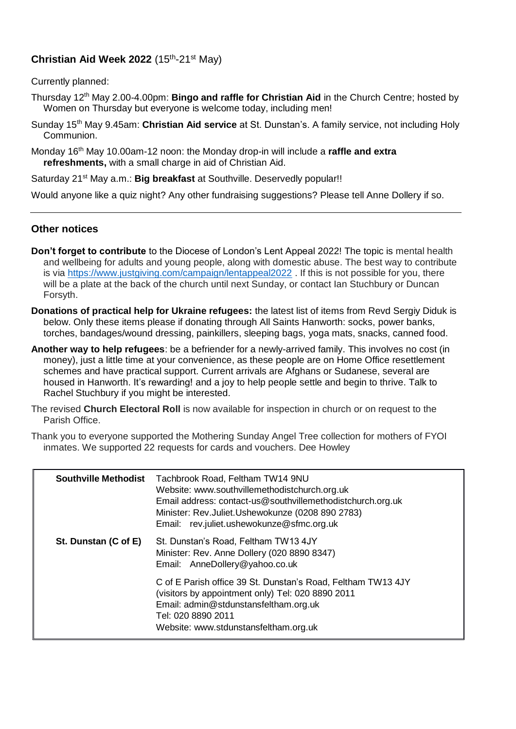## Christian Aid Week 2022 (15<sup>th</sup>-21<sup>st</sup> May)

Currently planned:

- Thursday 12th May 2.00-4.00pm: **Bingo and raffle for Christian Aid** in the Church Centre; hosted by Women on Thursday but everyone is welcome today, including men!
- Sunday 15th May 9.45am: **Christian Aid service** at St. Dunstan's. A family service, not including Holy Communion.
- Monday 16<sup>th</sup> May 10.00am-12 noon: the Monday drop-in will include a **raffle and extra refreshments,** with a small charge in aid of Christian Aid.

Saturday 21<sup>st</sup> May a.m.: **Big breakfast** at Southville. Deservedly popular!!

Would anyone like a quiz night? Any other fundraising suggestions? Please tell Anne Dollery if so.

### **Other notices**

- **Don't forget to contribute** to the Diocese of London's Lent Appeal 2022! The topic is mental health and wellbeing for adults and young people, along with domestic abuse. The best way to contribute is via<https://www.justgiving.com/campaign/lentappeal2022> . If this is not possible for you, there will be a plate at the back of the church until next Sunday, or contact Ian Stuchbury or Duncan Forsyth.
- **Donations of practical help for Ukraine refugees:** the latest list of items from Revd Sergiy Diduk is below. Only these items please if donating through All Saints Hanworth: socks, power banks, torches, bandages/wound dressing, painkillers, sleeping bags, yoga mats, snacks, canned food.
- **Another way to help refugees**: be a befriender for a newly-arrived family. This involves no cost (in money), just a little time at your convenience, as these people are on Home Office resettlement schemes and have practical support. Current arrivals are Afghans or Sudanese, several are housed in Hanworth. It's rewarding! and a joy to help people settle and begin to thrive. Talk to Rachel Stuchbury if you might be interested.
- The revised **Church Electoral Roll** is now available for inspection in church or on request to the Parish Office.
- Thank you to everyone supported the Mothering Sunday Angel Tree collection for mothers of FYOI inmates. We supported 22 requests for cards and vouchers. Dee Howley

| <b>Southville Methodist</b> | Tachbrook Road, Feltham TW14 9NU<br>Website: www.southvillemethodistchurch.org.uk<br>Email address: contact-us@southvillemethodistchurch.org.uk<br>Minister: Rev.Juliet.Ushewokunze (0208 890 2783)<br>Email: rev.juliet.ushewokunze@sfmc.org.uk |
|-----------------------------|--------------------------------------------------------------------------------------------------------------------------------------------------------------------------------------------------------------------------------------------------|
| St. Dunstan (C of E)        | St. Dunstan's Road, Feltham TW13 4JY<br>Minister: Rev. Anne Dollery (020 8890 8347)<br>Email: AnneDollery@yahoo.co.uk                                                                                                                            |
|                             | C of E Parish office 39 St. Dunstan's Road, Feltham TW13 4JY<br>(visitors by appointment only) Tel: 020 8890 2011<br>Email: admin@stdunstansfeltham.org.uk<br>Tel: 020 8890 2011<br>Website: www.stdunstansfeltham.org.uk                        |